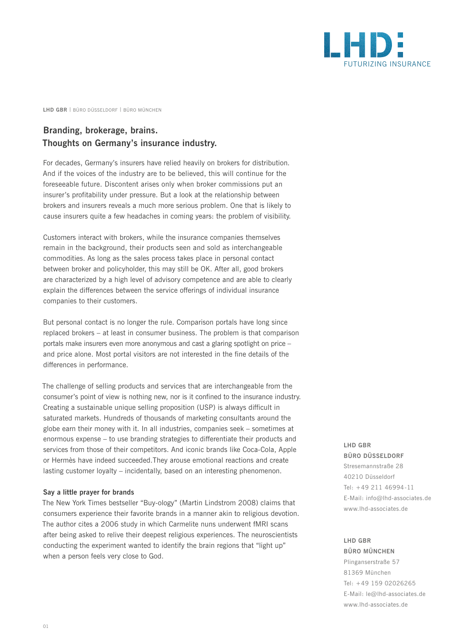

**LHD GBR** | BÜRO DÜSSELDORF | BÜRO MÜNCHEN

# **Branding, brokerage, brains. Thoughts on Germany's insurance industry.**

For decades, Germany's insurers have relied heavily on brokers for distribution. And if the voices of the industry are to be believed, this will continue for the foreseeable future. Discontent arises only when broker commissions put an insurer's profitability under pressure. But a look at the relationship between brokers and insurers reveals a much more serious problem. One that is likely to cause insurers quite a few headaches in coming years: the problem of visibility.

Customers interact with brokers, while the insurance companies themselves remain in the background, their products seen and sold as interchangeable commodities. As long as the sales process takes place in personal contact between broker and policyholder, this may still be OK. After all, good brokers are characterized by a high level of advisory competence and are able to clearly explain the differences between the service offerings of individual insurance companies to their customers.

But personal contact is no longer the rule. Comparison portals have long since replaced brokers – at least in consumer business. The problem is that comparison portals make insurers even more anonymous and cast a glaring spotlight on price – and price alone. Most portal visitors are not interested in the fine details of the differences in performance.

The challenge of selling products and services that are interchangeable from the consumer's point of view is nothing new, nor is it confined to the insurance industry. Creating a sustainable unique selling proposition (USP) is always difficult in saturated markets. Hundreds of thousands of marketing consultants around the globe earn their money with it. In all industries, companies seek – sometimes at enormous expense – to use branding strategies to differentiate their products and services from those of their competitors. And iconic brands like Coca-Cola, Apple or Hermès have indeed succeeded.They arouse emotional reactions and create lasting customer loyalty – incidentally, based on an interesting phenomenon.

#### **Say a little prayer for brands**

The New York Times bestseller "Buy-ology" (Martin Lindstrom 2008) claims that consumers experience their favorite brands in a manner akin to religious devotion. The author cites a 2006 study in which Carmelite nuns underwent fMRI scans after being asked to relive their deepest religious experiences. The neuroscientists conducting the experiment wanted to identify the brain regions that "light up" when a person feels very close to God.

### **LHD GBR BÜRO DÜSSELDORF**

Stresemannstraße 28 40210 Düsseldorf Tel: +49 211 46994-11 E-Mail: info@lhd-associates.de www.lhd-associates.de

### **LHD GBR BÜRO MÜNCHEN**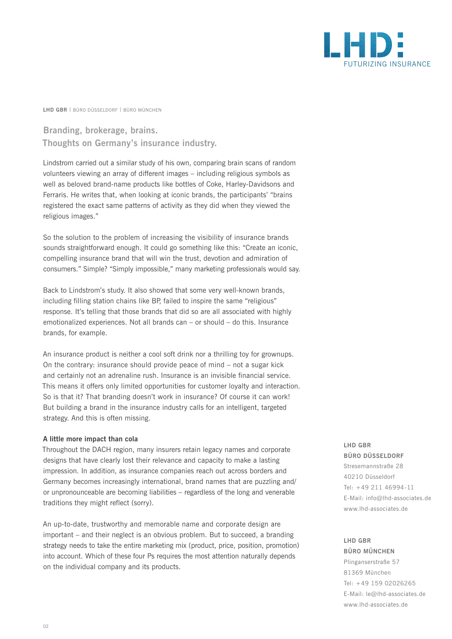

**LHD GBR** | BÜRO DÜSSELDORF | BÜRO MÜNCHEN

# **Branding, brokerage, brains. Thoughts on Germany's insurance industry.**

Lindstrom carried out a similar study of his own, comparing brain scans of random volunteers viewing an array of different images – including religious symbols as well as beloved brand-name products like bottles of Coke, Harley-Davidsons and Ferraris. He writes that, when looking at iconic brands, the participants' "brains registered the exact same patterns of activity as they did when they viewed the religious images."

So the solution to the problem of increasing the visibility of insurance brands sounds straightforward enough. It could go something like this: "Create an iconic, compelling insurance brand that will win the trust, devotion and admiration of consumers." Simple? "Simply impossible," many marketing professionals would say.

Back to Lindstrom's study. It also showed that some very well-known brands, including filling station chains like BP, failed to inspire the same "religious" response. It's telling that those brands that did so are all associated with highly emotionalized experiences. Not all brands can – or should – do this. Insurance brands, for example.

An insurance product is neither a cool soft drink nor a thrilling toy for grownups. On the contrary: insurance should provide peace of mind – not a sugar kick and certainly not an adrenaline rush. Insurance is an invisible financial service. This means it offers only limited opportunities for customer loyalty and interaction. So is that it? That branding doesn't work in insurance? Of course it can work! But building a brand in the insurance industry calls for an intelligent, targeted strategy. And this is often missing.

### **A little more impact than cola**

Throughout the DACH region, many insurers retain legacy names and corporate designs that have clearly lost their relevance and capacity to make a lasting impression. In addition, as insurance companies reach out across borders and Germany becomes increasingly international, brand names that are puzzling and/ or unpronounceable are becoming liabilities – regardless of the long and venerable traditions they might reflect (sorry).

An up-to-date, trustworthy and memorable name and corporate design are important – and their neglect is an obvious problem. But to succeed, a branding strategy needs to take the entire marketing mix (product, price, position, promotion) into account. Which of these four Ps requires the most attention naturally depends on the individual company and its products.

## **LHD GBR BÜRO DÜSSELDORF**

Stresemannstraße 28 40210 Düsseldorf Tel: +49 211 46994-11 E-Mail: info@lhd-associates.de www.lhd-associates.de

### **LHD GBR BÜRO MÜNCHEN**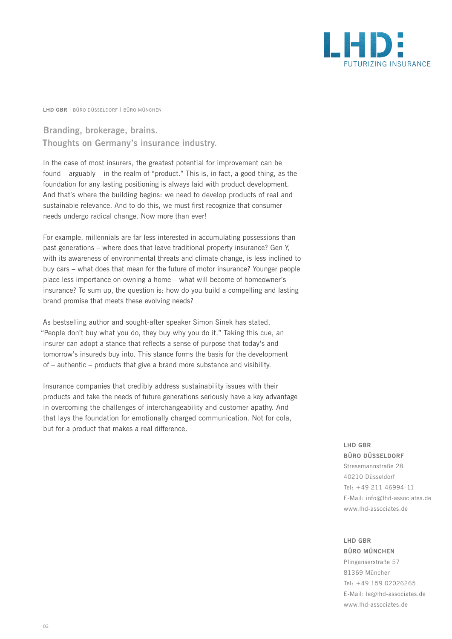

**LHD GBR** | BÜRO DÜSSELDORF | BÜRO MÜNCHEN

# **Branding, brokerage, brains. Thoughts on Germany's insurance industry.**

In the case of most insurers, the greatest potential for improvement can be found – arguably – in the realm of "product." This is, in fact, a good thing, as the foundation for any lasting positioning is always laid with product development. And that's where the building begins: we need to develop products of real and sustainable relevance. And to do this, we must first recognize that consumer needs undergo radical change. Now more than ever!

For example, millennials are far less interested in accumulating possessions than past generations – where does that leave traditional property insurance? Gen Y, with its awareness of environmental threats and climate change, is less inclined to buy cars – what does that mean for the future of motor insurance? Younger people place less importance on owning a home – what will become of homeowner's insurance? To sum up, the question is: how do you build a compelling and lasting brand promise that meets these evolving needs?

As bestselling author and sought-after speaker Simon Sinek has stated, "People don't buy what you do, they buy why you do it." Taking this cue, an insurer can adopt a stance that reflects a sense of purpose that today's and tomorrow's insureds buy into. This stance forms the basis for the development of – authentic – products that give a brand more substance and visibility.

Insurance companies that credibly address sustainability issues with their products and take the needs of future generations seriously have a key advantage in overcoming the challenges of interchangeability and customer apathy. And that lays the foundation for emotionally charged communication. Not for cola, but for a product that makes a real difference.

## **LHD GBR BÜRO DÜSSELDORF**

Stresemannstraße 28 40210 Düsseldorf Tel: +49 211 46994-11 E-Mail: info@lhd-associates.de www.lhd-associates.de

### **LHD GBR BÜRO MÜNCHEN**